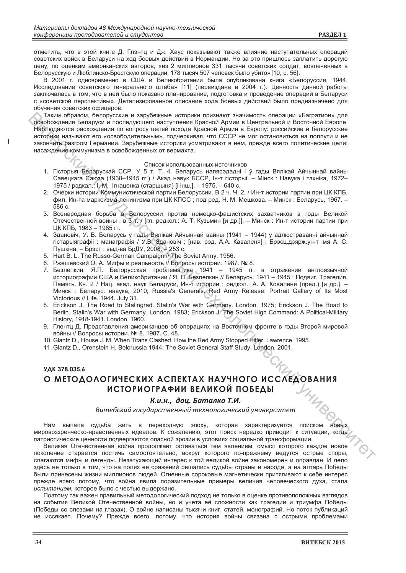отметить, что в этой книге Д. Глэнтц и Дж. Хаус показывают также влияние наступательных операций советских войск в Беларуси на ход боевых действий в Нормандии. Но за это пришлось заплатить дорогую цену, по оценкам американских авторов, «из 2 миллионов 331 тысячи советских солдат, вовлеченных в Белорусскую и Люблинско-Брестскую операции, 178 тысяч 507 человек было убито» [10, с. 56].

В 2001 г. одновременно в США и Великобритании была опубликована книга «Белоруссия, 1944. Исследование советского генерального штаба» [11] (переиздана в 2004 г.). Ценность данной работы заключалась в том, что в ней было показано планирование, подготовка и проведение операций в Беларуси с «советской перспективы». Детализированное описание хода боевых действий было предназначено для обучения советских офицеров.

Таким образом, белорусские и зарубежные историки признают значимость операции «Багратион» для освобождения Беларуси и последующего наступления Красной Армии в Центральной и Восточной Европе. Наблюдаются расхождения по вопросу целей похода Красной Армии в Европу: российские и белорусские историки называют его «освободительным», подчеркивая, что СССР не мог остановиться на полпути и не закончить разгром Германии. Зарубежные историки усматривают в нем, прежде всего политические цели: насаждение коммунизма в освобожденных от вермахта.

## Список использованных источников

- 1. Гісторыя Беларускай ССР. У 5 т. Т. 4. Беларусь напярэдадні і ў гады Вялікай Айчыннай вайны Савецкага Саюза (1938-1945 гг.) / Акад навук БССР, Ін-т гісторыі. - Мінск : Навука і тэхніка, 1972-1975 / рэдкал.: І. М. Ігнаценка (старшыня) [і інш.]. - 1975. - 640 с.
- 2. Очерки истории Коммунистической партии Белоруссии. В 2 ч. Ч. 2. / Ин-т истории партии при ЦК КПБ, фил. Ин-та марксизма-ленинизма при ЦК КПСС; под ред. Н. М. Мешкова. - Минск: Беларусь, 1967. - $586c$
- 3. Всенародная борьба в Белоруссии против немецко-фашистских захватчиков в годы Великой Отечественной войны : в 3 т. / [гл. редкол.: А. Т. Кузьмин [и др.]]. - Минск : Ин-т истории партии при ЦК КПБ, 1983 - 1985 гг.
- 4. Здановіч, У. В. Беларусь у гады Вялікай Айчыннай вайны (1941 1944) у адлюстраванні айчыннай гістарыяграфіі: манаграфія / У.В. Здановіч; [нав. рэд. А.А. Каваленя]; Брэсц дзярж.ун-т імя А. С. Пушкіна. - Брэст: выд-ва БрДУ, 2008. - 253 с.
- 5. Hart B. L. The Russo-German Campaign // The Soviet Army. 1956.
- 6. Ржешевский О. А. Мифы и реальность // Вопросы истории. 1987. № 8.
- 7. Безлепкин, Я.П. Белорусская проблематика 1941 1945 гг. в отражении англоязычной историографии США и Великобритании / Я. П. Безлепкин // Беларусь. 1941 - 1945 : Подвиг. Трагедия. Память. Кн. 2 / Нац. акад. наук Беларуси, Ин-т истории; редкол.: А. А. Коваленя (пред.) [и др.]. -Минск: Беларус. навука, 2010; Russia's Generals. Red Army Release: Portrait Gallery of Its Most Victorious // Life. 1944. July 31.
- 8. Erickson J. The Road to Stalingrad. Stalin's War with Germany. London. 1975; Erickson J. The Road to Berlin. Stalin's War with Germany. London. 1983; Erickson J. The Soviet High Command: A Political-Military History, 1918-1941. London. 1960.
- 9. Глентц Д. Представления американцев об операциях на Восточном фронте в годы Второй мировой войны // Вопросы истории. № 8. 1987. С. 48.
- 10. Glantz D., House J. M. When Titans Clashed. How the Red Army Stopped Hitler. Lawrence, 1995.
- 11. Glantz D., Orenstein H. Belorussia 1944: The Soviet General Staff Study, London, 2001.

## УДК 378.035.6 О МЕТОДОЛОГИЧЕСКИХ АСПЕКТАХ НАУЧНОГО ИССЛЕДОВАНИЯ ИСТОРИОГРАФИИ ВЕЛИКОЙ ПОБЕДЫ

## К.и.н., доц. Баталко Т.И.

Витебский государственный технологический университет

**НОВЫХ** Нам выпала судьба жить в переходную эпоху, которая характеризуется поиском мировоззренческо-нравственных идеалов. К сожалению, этот поиск нередко приводит к ситуации, когда патриотические ценности подвергаются опасной эрозии в условиях социальной трансформации.

Великая Отечественная война продолжает оставаться тем явлением, смысл которого каждое новое поколение старается постичь самостоятельно, вокруг которого по-прежнему ведутся острые споры, слагаются мифы и легенды. Незатухающий интерес к той великой войне закономерен и оправдан. И дело здесь не только в том, что на полях ее сражений решались судьбы страны и народа, а на алтарь Победы были принесены жизни миллионов людей. Огненные сороковые магнетически притягивают к себе интерес прежде всего потому, что война явила поразительные примеры величия человеческого духа, стала испытанием, которое было с честью выдержано.

Поэтому так важен правильный методологический подход не только в оценке противоположных взглядов на события Великой Отечественной войны, но и учета её сложности как трагедии и триумфа Победы (Победы со слезами на глазах). О войне написаны тысячи книг, статей, монографий. Но поток публикаций не иссякает. Почему? Прежде всего, потому, что история войны связана с острыми проблемами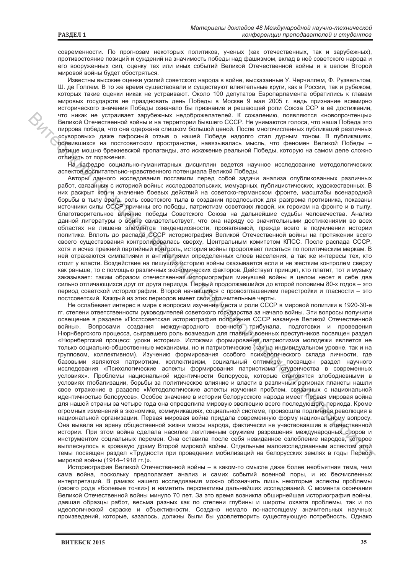современности. По прогнозам некоторых политиков, ученых (как отечественных, так и зарубежных), противостояние позиций и суждений на значимость победы над фашизмом, вклад в неё советского народа и его вооруженных сил, оценку тех или иных событий Великой Отечественной войны и в целом Второй мировой войны будет обостряться.

Известны высокие оценки усилий советского народа в войне, высказанные У. Черчиллем, Ф. Рузвельтом, Ш. де Голлем. В то же время существовали и существуют влиятельные круги, как в России, так и рубежом, которых такие оценки никак не устраивают. Около 100 депутатов Европарламента обратились к главам мировых государств не праздновать день Победы в Москве 9 мая 2005 г. ведь признание всемирно исторического значения Победы означало бы признание и решающей роли Союза ССР в её достижении, что никак не устраивает зарубежных недоброжелателей. К сожалению, появляются «новопрочтенцы» Великой Отечественной войны и на территории бывшего СССР. Не унимаются голоса, что наша Победа это пиррова победа, что она одержана слишком большой ценой. После многочисленных публикаций различных «суворовых» даже пафосный отзыв о нашей Победе надолго стал дурным тоном. В публикациях, появившихся на постсоветском пространстве, навязывалась мысль, что феномен Великой Победы детище мощно брежневской пропаганды, это искажение реальной Победы, которую на самом деле сложно отличить от поражения.

На кафедре социально-гуманитарных дисциплин ведется научное исследование методологических аспектов воспитательно-нравственного потенциала Великой Победы.

Авторы данного исследования поставили перед собой задачи анализа опубликованных различных работ, связанных с историей войны: исследовательских, мемуарных, публицистических, художественных. В них раскрыт код и значение боевых действий на советско-германском фронте, масштабы всенародной борьбы в тылу врага, роль советского тыла в создании предпосылок для разгрома противника, показаны источники силы СССР причины его победы, патриотизм советских людей, их героизм на фронте и в тылу, благотворительное влияние победы Советского Союза на дальнейшие судьбы человечества. Анализ данной литературы о войне свидетельствует, что она наряду со значительными достижениями во всех областях не лишена элементов тенденциозности, проявляемой, прежде всего в подчинении истории политике. Вплоть до распада СССР историография Великой Отечественной войны на протяжении всего своего существования контролировалась сверху, Центральным комитетом КПСС. После распада СССР, хотя и исчез прежний партийный контроль, история войны продолжает писаться по политическим меркам. В ней отражаются симпатиями и антипатиями определенных слоев населения, а так же интересы тех, кто стоит у власти. Воздействие на пишущих историю войны оказывается если и не жестким контролем сверху как раньше, то с помощью различных экономических факторов. Действует принцип, кто платит, тот и музыку заказывает: таким образом отечественная историография минувшей войны в целом несет в себе два сильно отличающихся друг от друга периода. Первый продолжавшийся до второй половины 80-х годов – это период советской историографии. Второй начавщийся с провозглашением перестройки и гласности - это постсоветский. Каждый из этих периодов имеет свои отличительные черты.

Не ослабевает интерес в мире к вопросам изучения места и роли СССР в мировой политики в 1920-30-е гг. степени ответственности руководителей советского государства за начало войны. Эти вопросы получили освещение в разделе «Постсоветская историография положения СССР накануне Великой Отечественной войны». Вопросами создания международного военного трибунала, подготовки и проведения Нюрнбергского процесса, сыгравшего роль возмездия для главных военных преступников посвящен раздел «Нюрнбергский процесс: уроки истории». Истоками формирования патриотизма молодежи является не только социально-обшественные механизмы, но и патриотические (как на индивидуальном уровне, так и на групповом, коллективном). Изучению формирования особого психологического склада личности, где базовыми являются патриотизм, коллективизм, социальный оптимизм посвящен раздел научного исследования «Психологические аспекты формирования патриотизма студенчества в современных условиях». Проблемы национальной идентичности белорусов, которые становятся злободневными в условиях глобализации, борьбы за политическое влияние и власти в различных регионах планеты нашли свое отражение в разделе «Методологические аспекты изучения проблем, связанных с национальной идентичностью белорусов». Особое значение в истории белорусского народа имеет Первая мировая война для нашей страны за четыре года она определила мировую эволюцию всего последующего периода. Кроме огромных изменений в экономике, коммуникациях, социальной системе, произошла подлинная революция в национальной организации. Первая мировая война придала современную форму национальному вопросу. Она вывела на арену общественной жизни массы народа, фактически не участвовавшие в отечественной истории. При этом война сделала насилие легитимным оружием разрешения международных споров и инструментом социальных перемен. Она оставила после себя невиданное озлобление народов, которое выплеснулось в кровавую драму Второй мировой войны. Отдельным малоисследованным аспектом этой темы посвящен раздел «Трудности при проведении мобилизаций на белорусских землях в годы Первой мировой войны (1914-1918 гг.)».

Историография Великой Отечественной войны - в каком-то смысле даже более необъятная тема, чем сама война, поскольку предполагает анализ и самих событий военной поры, и их бесчисленных интерпретаций. В рамках нашего исследования можно обозначить лишь некоторые аспекты проблемы (своего рода «болевые точки») и наметить перспективы дальнейших исследований. С момента окончания Великой Отечественной войны минуло 70 лет. За это время возникла обширнейшая историография войны, давшая образцы работ, весьма разных как по степени глубины и широты охвата проблемы, так и по идеологической окраске и объективности. Создано немало по-настоящему значительных научных произведений, которые, казалось, должны были бы удовлетворить существующую потребность. Однако